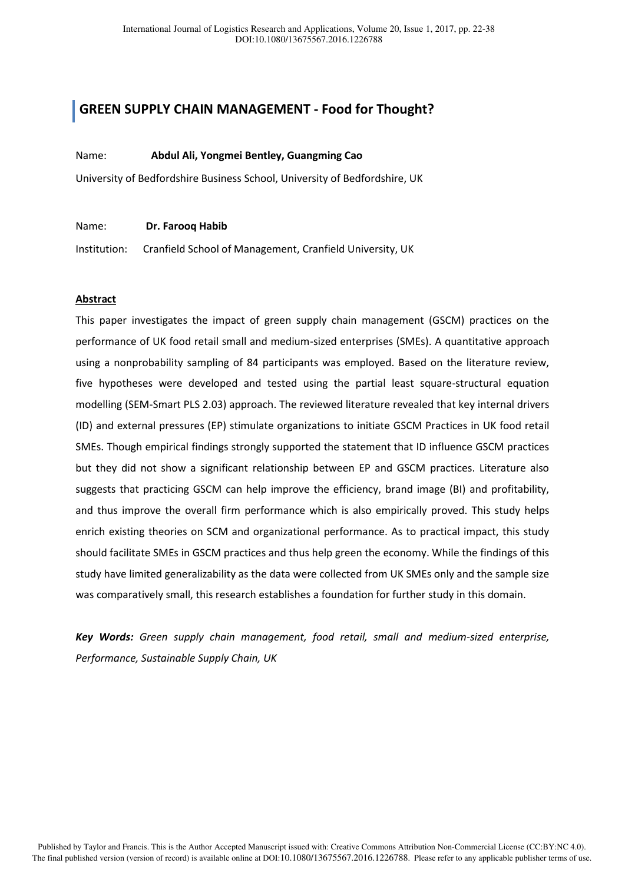# **GREEN SUPPLY CHAIN MANAGEMENT - Food for Thought?**

### Name: **Abdul Ali, Yongmei Bentley, Guangming Cao**

University of Bedfordshire Business School, University of Bedfordshire, UK

#### Name: **Dr. Farooq Habib**

Institution: Cranfield School of Management, Cranfield University, UK

#### **Abstract**

This paper investigates the impact of green supply chain management (GSCM) practices on the performance of UK food retail small and medium-sized enterprises (SMEs). A quantitative approach using a nonprobability sampling of 84 participants was employed. Based on the literature review, five hypotheses were developed and tested using the partial least square-structural equation modelling (SEM-Smart PLS 2.03) approach. The reviewed literature revealed that key internal drivers (ID) and external pressures (EP) stimulate organizations to initiate GSCM Practices in UK food retail SMEs. Though empirical findings strongly supported the statement that ID influence GSCM practices but they did not show a significant relationship between EP and GSCM practices. Literature also suggests that practicing GSCM can help improve the efficiency, brand image (BI) and profitability, and thus improve the overall firm performance which is also empirically proved. This study helps enrich existing theories on SCM and organizational performance. As to practical impact, this study should facilitate SMEs in GSCM practices and thus help green the economy. While the findings of this study have limited generalizability as the data were collected from UK SMEs only and the sample size was comparatively small, this research establishes a foundation for further study in this domain.

*Key Words: Green supply chain management, food retail, small and medium-sized enterprise, Performance, Sustainable Supply Chain, UK*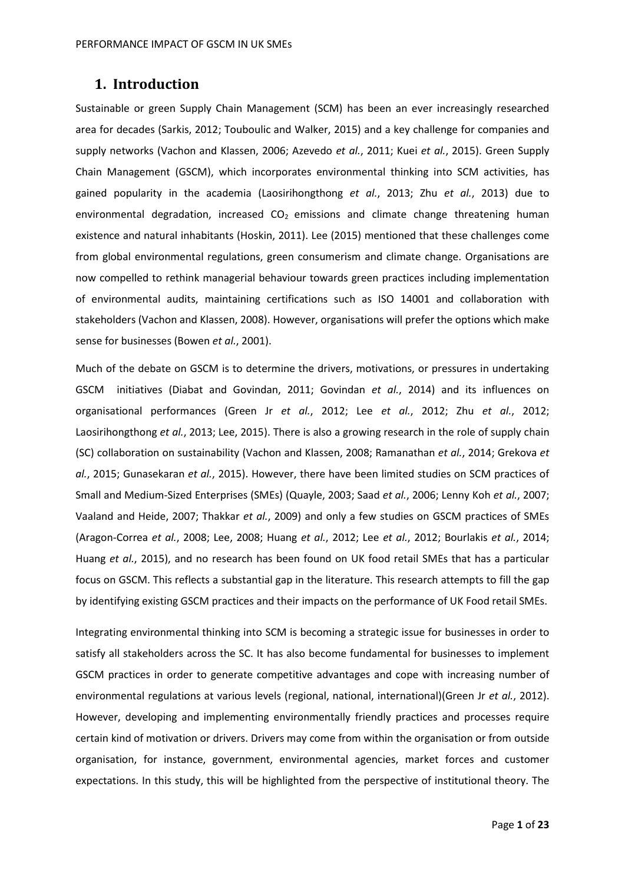# **1. Introduction**

Sustainable or green Supply Chain Management (SCM) has been an ever increasingly researched area for decades (Sarkis, 2012; Touboulic and Walker, 2015) and a key challenge for companies and supply networks (Vachon and Klassen, 2006; Azevedo *et al.*, 2011; Kuei *et al.*, 2015). Green Supply Chain Management (GSCM), which incorporates environmental thinking into SCM activities, has gained popularity in the academia (Laosirihongthong *et al.*, 2013; Zhu *et al.*, 2013) due to environmental degradation, increased  $CO<sub>2</sub>$  emissions and climate change threatening human existence and natural inhabitants (Hoskin, 2011). Lee (2015) mentioned that these challenges come from global environmental regulations, green consumerism and climate change. Organisations are now compelled to rethink managerial behaviour towards green practices including implementation of environmental audits, maintaining certifications such as ISO 14001 and collaboration with stakeholders (Vachon and Klassen, 2008). However, organisations will prefer the options which make sense for businesses (Bowen *et al.*, 2001).

Much of the debate on GSCM is to determine the drivers, motivations, or pressures in undertaking GSCM initiatives (Diabat and Govindan, 2011; Govindan *et al.*, 2014) and its influences on organisational performances (Green Jr *et al.*, 2012; Lee *et al.*, 2012; Zhu *et al.*, 2012; Laosirihongthong *et al.*, 2013; Lee, 2015). There is also a growing research in the role of supply chain (SC) collaboration on sustainability (Vachon and Klassen, 2008; Ramanathan *et al.*, 2014; Grekova *et al.*, 2015; Gunasekaran *et al.*, 2015). However, there have been limited studies on SCM practices of Small and Medium-Sized Enterprises (SMEs) (Quayle, 2003; Saad *et al.*, 2006; Lenny Koh *et al.*, 2007; Vaaland and Heide, 2007; Thakkar *et al.*, 2009) and only a few studies on GSCM practices of SMEs (Aragon-Correa *et al.*, 2008; Lee, 2008; Huang *et al.*, 2012; Lee *et al.*, 2012; Bourlakis *et al.*, 2014; Huang *et al.*, 2015), and no research has been found on UK food retail SMEs that has a particular focus on GSCM. This reflects a substantial gap in the literature. This research attempts to fill the gap by identifying existing GSCM practices and their impacts on the performance of UK Food retail SMEs.

Integrating environmental thinking into SCM is becoming a strategic issue for businesses in order to satisfy all stakeholders across the SC. It has also become fundamental for businesses to implement GSCM practices in order to generate competitive advantages and cope with increasing number of environmental regulations at various levels (regional, national, international)(Green Jr *et al.*, 2012). However, developing and implementing environmentally friendly practices and processes require certain kind of motivation or drivers. Drivers may come from within the organisation or from outside organisation, for instance, government, environmental agencies, market forces and customer expectations. In this study, this will be highlighted from the perspective of institutional theory. The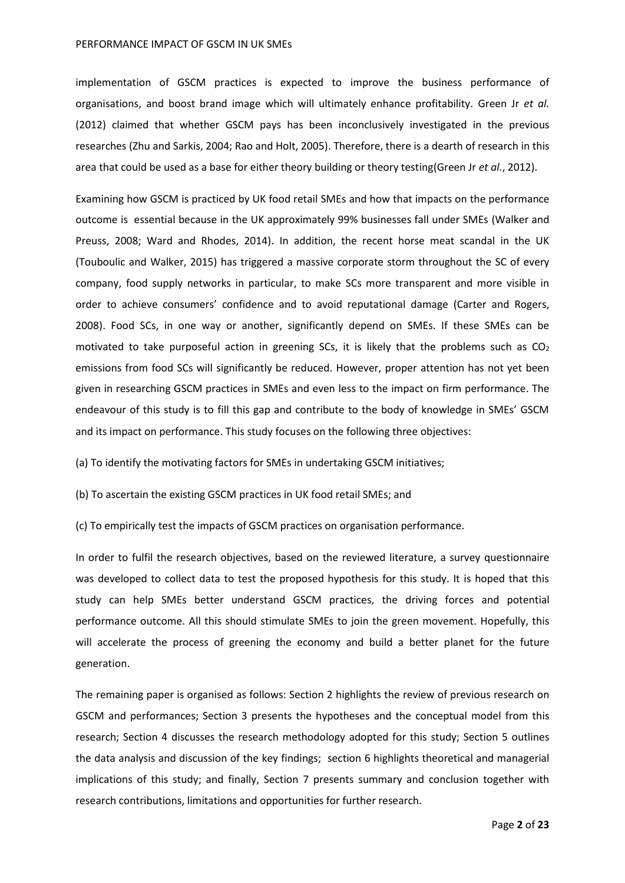implementation of GSCM practices is expected to improve the business performance of organisations, and boost brand image which will ultimately enhance profitability. Green Jr *et al.* (2012) claimed that whether GSCM pays has been inconclusively investigated in the previous researches (Zhu and Sarkis, 2004; Rao and Holt, 2005). Therefore, there is a dearth of research in this area that could be used as a base for either theory building or theory testing(Green Jr *et al.*, 2012).

Examining how GSCM is practiced by UK food retail SMEs and how that impacts on the performance outcome is essential because in the UK approximately 99% businesses fall under SMEs (Walker and Preuss, 2008; Ward and Rhodes, 2014). In addition, the recent horse meat scandal in the UK (Touboulic and Walker, 2015) has triggered a massive corporate storm throughout the SC of every company, food supply networks in particular, to make SCs more transparent and more visible in order to achieve consumers' confidence and to avoid reputational damage (Carter and Rogers, 2008). Food SCs, in one way or another, significantly depend on SMEs. If these SMEs can be motivated to take purposeful action in greening SCs, it is likely that the problems such as  $CO<sub>2</sub>$ emissions from food SCs will significantly be reduced. However, proper attention has not yet been given in researching GSCM practices in SMEs and even less to the impact on firm performance. The endeavour of this study is to fill this gap and contribute to the body of knowledge in SMEs' GSCM and its impact on performance. This study focuses on the following three objectives:

(a) To identify the motivating factors for SMEs in undertaking GSCM initiatives;

(b) To ascertain the existing GSCM practices in UK food retail SMEs; and

(c) To empirically test the impacts of GSCM practices on organisation performance.

In order to fulfil the research objectives, based on the reviewed literature, a survey questionnaire was developed to collect data to test the proposed hypothesis for this study. It is hoped that this study can help SMEs better understand GSCM practices, the driving forces and potential performance outcome. All this should stimulate SMEs to join the green movement. Hopefully, this will accelerate the process of greening the economy and build a better planet for the future generation.

The remaining paper is organised as follows: Section 2 highlights the review of previous research on GSCM and performances; Section 3 presents the hypotheses and the conceptual model from this research; Section 4 discusses the research methodology adopted for this study; Section 5 outlines the data analysis and discussion of the key findings; section 6 highlights theoretical and managerial implications of this study; and finally, Section 7 presents summary and conclusion together with research contributions, limitations and opportunities for further research.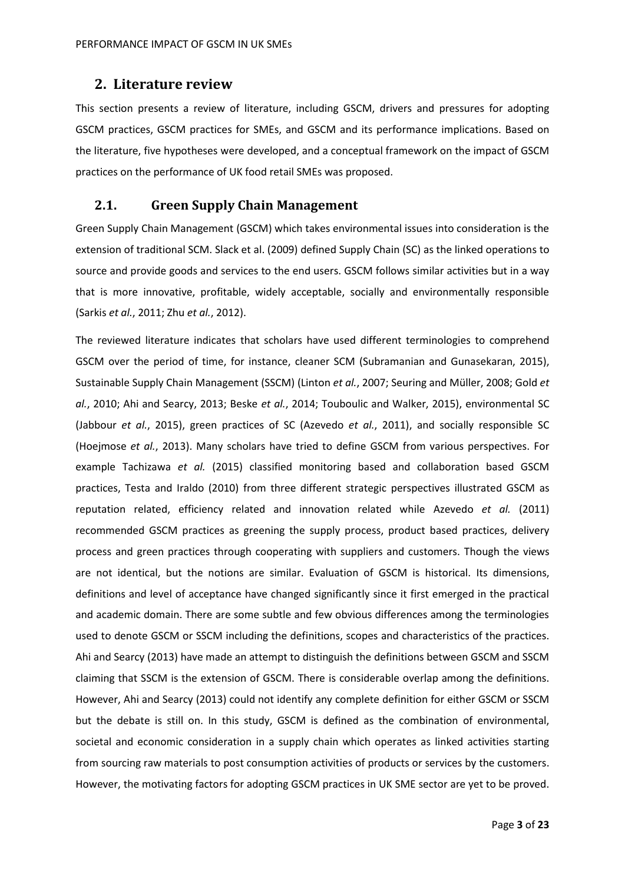# **2. Literature review**

This section presents a review of literature, including GSCM, drivers and pressures for adopting GSCM practices, GSCM practices for SMEs, and GSCM and its performance implications. Based on the literature, five hypotheses were developed, and a conceptual framework on the impact of GSCM practices on the performance of UK food retail SMEs was proposed.

# **2.1. Green Supply Chain Management**

Green Supply Chain Management (GSCM) which takes environmental issues into consideration is the extension of traditional SCM. Slack et al. (2009) defined Supply Chain (SC) as the linked operations to source and provide goods and services to the end users. GSCM follows similar activities but in a way that is more innovative, profitable, widely acceptable, socially and environmentally responsible (Sarkis *et al.*, 2011; Zhu *et al.*, 2012).

The reviewed literature indicates that scholars have used different terminologies to comprehend GSCM over the period of time, for instance, cleaner SCM (Subramanian and Gunasekaran, 2015), Sustainable Supply Chain Management (SSCM) (Linton *et al.*, 2007; Seuring and Müller, 2008; Gold *et al.*, 2010; Ahi and Searcy, 2013; Beske *et al.*, 2014; Touboulic and Walker, 2015), environmental SC (Jabbour *et al.*, 2015), green practices of SC (Azevedo *et al.*, 2011), and socially responsible SC (Hoejmose *et al.*, 2013). Many scholars have tried to define GSCM from various perspectives. For example Tachizawa *et al.* (2015) classified monitoring based and collaboration based GSCM practices, Testa and Iraldo (2010) from three different strategic perspectives illustrated GSCM as reputation related, efficiency related and innovation related while Azevedo *et al.* (2011) recommended GSCM practices as greening the supply process, product based practices, delivery process and green practices through cooperating with suppliers and customers. Though the views are not identical, but the notions are similar. Evaluation of GSCM is historical. Its dimensions, definitions and level of acceptance have changed significantly since it first emerged in the practical and academic domain. There are some subtle and few obvious differences among the terminologies used to denote GSCM or SSCM including the definitions, scopes and characteristics of the practices. Ahi and Searcy (2013) have made an attempt to distinguish the definitions between GSCM and SSCM claiming that SSCM is the extension of GSCM. There is considerable overlap among the definitions. However, Ahi and Searcy (2013) could not identify any complete definition for either GSCM or SSCM but the debate is still on. In this study, GSCM is defined as the combination of environmental, societal and economic consideration in a supply chain which operates as linked activities starting from sourcing raw materials to post consumption activities of products or services by the customers. However, the motivating factors for adopting GSCM practices in UK SME sector are yet to be proved.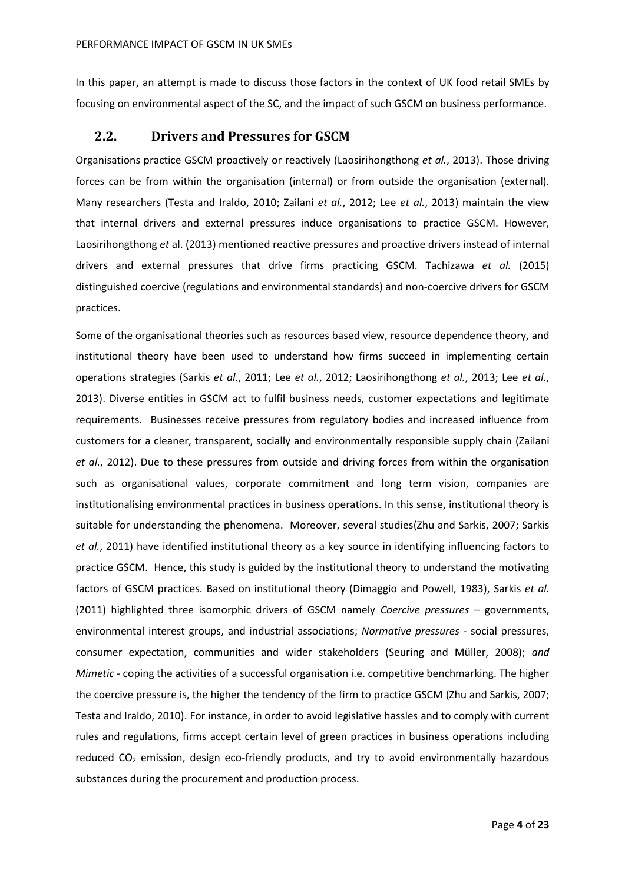In this paper, an attempt is made to discuss those factors in the context of UK food retail SMEs by focusing on environmental aspect of the SC, and the impact of such GSCM on business performance.

## **2.2. Drivers and Pressures for GSCM**

Organisations practice GSCM proactively or reactively (Laosirihongthong *et al.*, 2013). Those driving forces can be from within the organisation (internal) or from outside the organisation (external). Many researchers (Testa and Iraldo, 2010; Zailani *et al.*, 2012; Lee *et al.*, 2013) maintain the view that internal drivers and external pressures induce organisations to practice GSCM. However, Laosirihongthong *et* al. (2013) mentioned reactive pressures and proactive drivers instead of internal drivers and external pressures that drive firms practicing GSCM. Tachizawa *et al.* (2015) distinguished coercive (regulations and environmental standards) and non-coercive drivers for GSCM practices.

Some of the organisational theories such as resources based view, resource dependence theory, and institutional theory have been used to understand how firms succeed in implementing certain operations strategies (Sarkis *et al.*, 2011; Lee *et al.*, 2012; Laosirihongthong *et al.*, 2013; Lee *et al.*, 2013). Diverse entities in GSCM act to fulfil business needs, customer expectations and legitimate requirements. Businesses receive pressures from regulatory bodies and increased influence from customers for a cleaner, transparent, socially and environmentally responsible supply chain (Zailani *et al.*, 2012). Due to these pressures from outside and driving forces from within the organisation such as organisational values, corporate commitment and long term vision, companies are institutionalising environmental practices in business operations. In this sense, institutional theory is suitable for understanding the phenomena. Moreover, several studies(Zhu and Sarkis, 2007; Sarkis *et al.*, 2011) have identified institutional theory as a key source in identifying influencing factors to practice GSCM. Hence, this study is guided by the institutional theory to understand the motivating factors of GSCM practices. Based on institutional theory (Dimaggio and Powell, 1983), Sarkis *et al.* (2011) highlighted three isomorphic drivers of GSCM namely *Coercive pressures –* governments, environmental interest groups, and industrial associations; *Normative pressures -* social pressures, consumer expectation, communities and wider stakeholders (Seuring and Müller, 2008); *and Mimetic* - coping the activities of a successful organisation i.e. competitive benchmarking. The higher the coercive pressure is, the higher the tendency of the firm to practice GSCM (Zhu and Sarkis, 2007; Testa and Iraldo, 2010). For instance, in order to avoid legislative hassles and to comply with current rules and regulations, firms accept certain level of green practices in business operations including reduced  $CO<sub>2</sub>$  emission, design eco-friendly products, and try to avoid environmentally hazardous substances during the procurement and production process.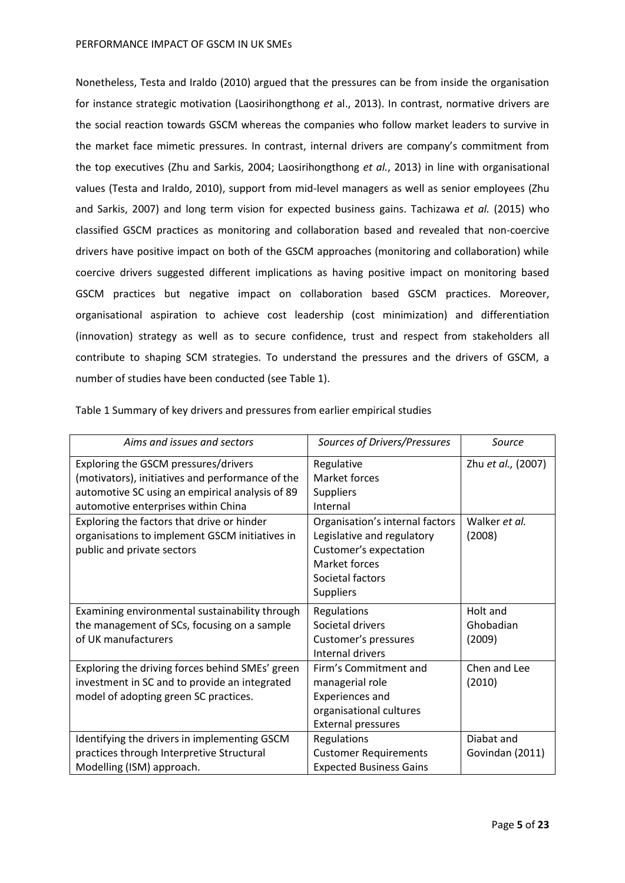Nonetheless, Testa and Iraldo (2010) argued that the pressures can be from inside the organisation for instance strategic motivation (Laosirihongthong *et* al., 2013). In contrast, normative drivers are the social reaction towards GSCM whereas the companies who follow market leaders to survive in the market face mimetic pressures. In contrast, internal drivers are company's commitment from the top executives (Zhu and Sarkis, 2004; Laosirihongthong *et al.*, 2013) in line with organisational values (Testa and Iraldo, 2010), support from mid-level managers as well as senior employees (Zhu and Sarkis, 2007) and long term vision for expected business gains. Tachizawa *et al.* (2015) who classified GSCM practices as monitoring and collaboration based and revealed that non-coercive drivers have positive impact on both of the GSCM approaches (monitoring and collaboration) while coercive drivers suggested different implications as having positive impact on monitoring based GSCM practices but negative impact on collaboration based GSCM practices. Moreover, organisational aspiration to achieve cost leadership (cost minimization) and differentiation (innovation) strategy as well as to secure confidence, trust and respect from stakeholders all contribute to shaping SCM strategies. To understand the pressures and the drivers of GSCM, a number of studies have been conducted (see Table 1).

| Aims and issues and sectors                                                                                                                                                        | Sources of Drivers/Pressures                                                                                                                     | Source                          |
|------------------------------------------------------------------------------------------------------------------------------------------------------------------------------------|--------------------------------------------------------------------------------------------------------------------------------------------------|---------------------------------|
| Exploring the GSCM pressures/drivers<br>(motivators), initiatives and performance of the<br>automotive SC using an empirical analysis of 89<br>automotive enterprises within China | Regulative<br>Market forces<br><b>Suppliers</b><br>Internal                                                                                      | Zhu et al., (2007)              |
| Exploring the factors that drive or hinder<br>organisations to implement GSCM initiatives in<br>public and private sectors                                                         | Organisation's internal factors<br>Legislative and regulatory<br>Customer's expectation<br>Market forces<br>Societal factors<br><b>Suppliers</b> | Walker et al.<br>(2008)         |
| Examining environmental sustainability through<br>the management of SCs, focusing on a sample<br>of UK manufacturers                                                               | <b>Regulations</b><br>Societal drivers<br>Customer's pressures<br>Internal drivers                                                               | Holt and<br>Ghobadian<br>(2009) |
| Exploring the driving forces behind SMEs' green<br>investment in SC and to provide an integrated<br>model of adopting green SC practices.                                          | Firm's Commitment and<br>managerial role<br><b>Experiences and</b><br>organisational cultures<br><b>External pressures</b>                       | Chen and Lee<br>(2010)          |
| Identifying the drivers in implementing GSCM<br>practices through Interpretive Structural<br>Modelling (ISM) approach.                                                             | <b>Regulations</b><br><b>Customer Requirements</b><br><b>Expected Business Gains</b>                                                             | Diabat and<br>Govindan (2011)   |

Table 1 Summary of key drivers and pressures from earlier empirical studies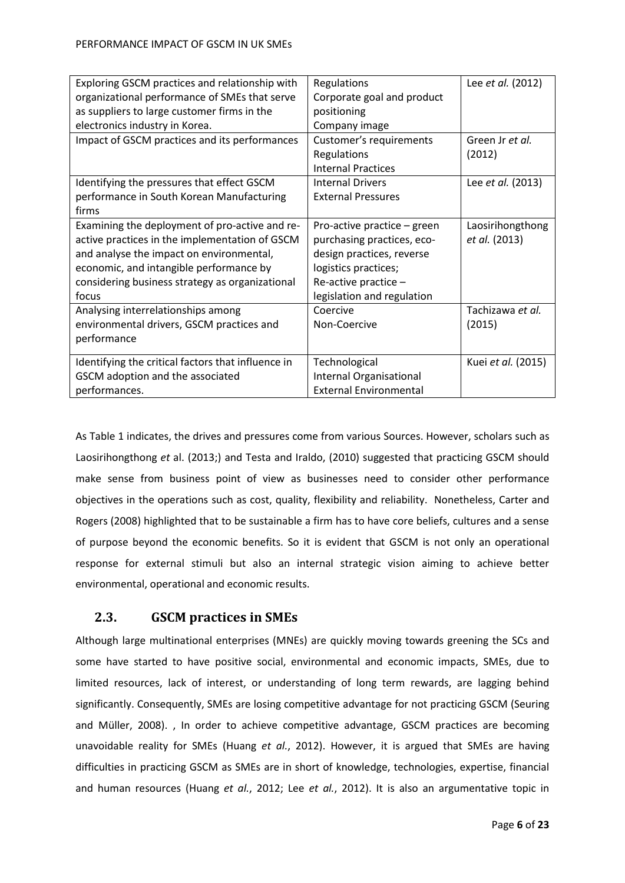| Exploring GSCM practices and relationship with     | <b>Regulations</b>            | Lee et al. (2012)  |
|----------------------------------------------------|-------------------------------|--------------------|
| organizational performance of SMEs that serve      | Corporate goal and product    |                    |
| as suppliers to large customer firms in the        | positioning                   |                    |
| electronics industry in Korea.                     | Company image                 |                    |
| Impact of GSCM practices and its performances      | Customer's requirements       | Green Jr et al.    |
|                                                    | Regulations                   | (2012)             |
|                                                    | <b>Internal Practices</b>     |                    |
| Identifying the pressures that effect GSCM         | <b>Internal Drivers</b>       | Lee et al. (2013)  |
| performance in South Korean Manufacturing          | <b>External Pressures</b>     |                    |
| firms                                              |                               |                    |
| Examining the deployment of pro-active and re-     | Pro-active practice - green   | Laosirihongthong   |
| active practices in the implementation of GSCM     | purchasing practices, eco-    | et al. (2013)      |
| and analyse the impact on environmental,           | design practices, reverse     |                    |
| economic, and intangible performance by            | logistics practices;          |                    |
| considering business strategy as organizational    | Re-active practice -          |                    |
| focus                                              | legislation and regulation    |                    |
| Analysing interrelationships among                 | Coercive                      | Tachizawa et al.   |
| environmental drivers, GSCM practices and          | Non-Coercive                  | (2015)             |
| performance                                        |                               |                    |
|                                                    |                               |                    |
| Identifying the critical factors that influence in | Technological                 | Kuei et al. (2015) |
| GSCM adoption and the associated                   | Internal Organisational       |                    |
| performances.                                      | <b>External Environmental</b> |                    |

As Table 1 indicates, the drives and pressures come from various Sources. However, scholars such as Laosirihongthong *et* al. (2013;) and Testa and Iraldo, (2010) suggested that practicing GSCM should make sense from business point of view as businesses need to consider other performance objectives in the operations such as cost, quality, flexibility and reliability. Nonetheless, Carter and Rogers (2008) highlighted that to be sustainable a firm has to have core beliefs, cultures and a sense of purpose beyond the economic benefits. So it is evident that GSCM is not only an operational response for external stimuli but also an internal strategic vision aiming to achieve better environmental, operational and economic results.

# **2.3. GSCM practices in SMEs**

Although large multinational enterprises (MNEs) are quickly moving towards greening the SCs and some have started to have positive social, environmental and economic impacts, SMEs, due to limited resources, lack of interest, or understanding of long term rewards, are lagging behind significantly. Consequently, SMEs are losing competitive advantage for not practicing GSCM (Seuring and Müller, 2008). , In order to achieve competitive advantage, GSCM practices are becoming unavoidable reality for SMEs (Huang *et al.*, 2012). However, it is argued that SMEs are having difficulties in practicing GSCM as SMEs are in short of knowledge, technologies, expertise, financial and human resources (Huang *et al.*, 2012; Lee *et al.*, 2012). It is also an argumentative topic in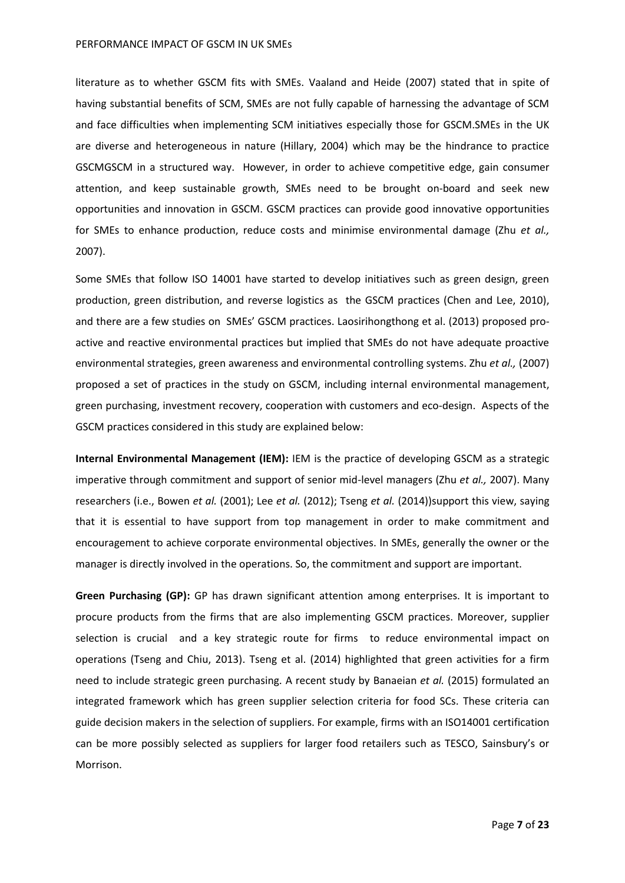literature as to whether GSCM fits with SMEs. Vaaland and Heide (2007) stated that in spite of having substantial benefits of SCM, SMEs are not fully capable of harnessing the advantage of SCM and face difficulties when implementing SCM initiatives especially those for GSCM.SMEs in the UK are diverse and heterogeneous in nature (Hillary, 2004) which may be the hindrance to practice GSCMGSCM in a structured way. However, in order to achieve competitive edge, gain consumer attention, and keep sustainable growth, SMEs need to be brought on-board and seek new opportunities and innovation in GSCM. GSCM practices can provide good innovative opportunities for SMEs to enhance production, reduce costs and minimise environmental damage (Zhu *et al.,* 2007).

Some SMEs that follow ISO 14001 have started to develop initiatives such as green design, green production, green distribution, and reverse logistics as the GSCM practices (Chen and Lee, 2010), and there are a few studies on SMEs' GSCM practices. Laosirihongthong et al. (2013) proposed proactive and reactive environmental practices but implied that SMEs do not have adequate proactive environmental strategies, green awareness and environmental controlling systems. Zhu *et al.,* (2007) proposed a set of practices in the study on GSCM, including internal environmental management, green purchasing, investment recovery, cooperation with customers and eco-design. Aspects of the GSCM practices considered in this study are explained below:

**Internal Environmental Management (IEM):** IEM is the practice of developing GSCM as a strategic imperative through commitment and support of senior mid-level managers (Zhu *et al.,* 2007). Many researchers (i.e., Bowen *et al.* (2001); Lee *et al.* (2012); Tseng *et al.* (2014))support this view, saying that it is essential to have support from top management in order to make commitment and encouragement to achieve corporate environmental objectives. In SMEs, generally the owner or the manager is directly involved in the operations. So, the commitment and support are important.

**Green Purchasing (GP):** GP has drawn significant attention among enterprises. It is important to procure products from the firms that are also implementing GSCM practices. Moreover, supplier selection is crucial and a key strategic route for firms to reduce environmental impact on operations (Tseng and Chiu, 2013). Tseng et al. (2014) highlighted that green activities for a firm need to include strategic green purchasing. A recent study by Banaeian *et al.* (2015) formulated an integrated framework which has green supplier selection criteria for food SCs. These criteria can guide decision makers in the selection of suppliers. For example, firms with an ISO14001 certification can be more possibly selected as suppliers for larger food retailers such as TESCO, Sainsbury's or Morrison.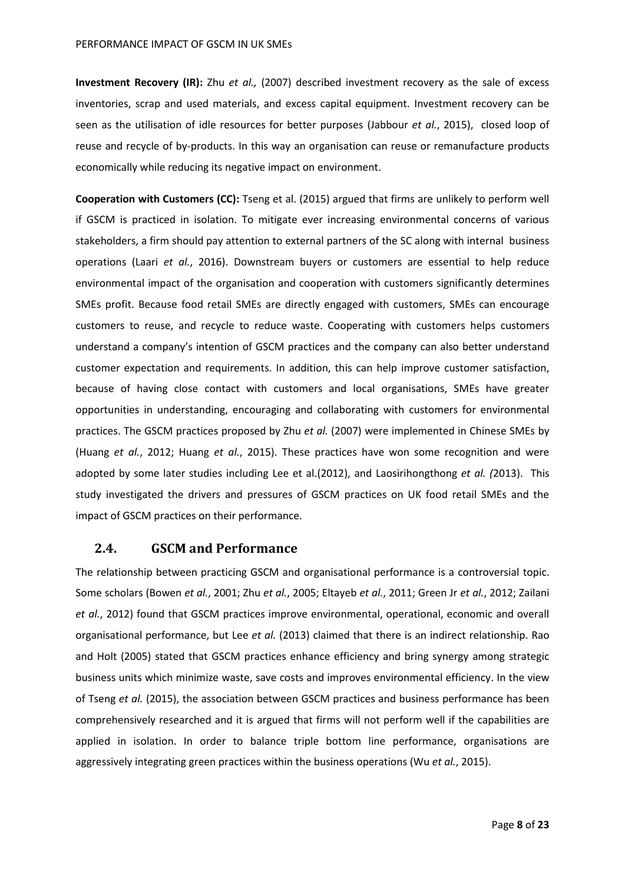**Investment Recovery (IR):** Zhu *et al.,* (2007) described investment recovery as the sale of excess inventories, scrap and used materials, and excess capital equipment. Investment recovery can be seen as the utilisation of idle resources for better purposes (Jabbour *et al.*, 2015), closed loop of reuse and recycle of by-products. In this way an organisation can reuse or remanufacture products economically while reducing its negative impact on environment.

**Cooperation with Customers (CC):** Tseng et al. (2015) argued that firms are unlikely to perform well if GSCM is practiced in isolation. To mitigate ever increasing environmental concerns of various stakeholders, a firm should pay attention to external partners of the SC along with internal business operations (Laari *et al.*, 2016). Downstream buyers or customers are essential to help reduce environmental impact of the organisation and cooperation with customers significantly determines SMEs profit. Because food retail SMEs are directly engaged with customers, SMEs can encourage customers to reuse, and recycle to reduce waste. Cooperating with customers helps customers understand a company's intention of GSCM practices and the company can also better understand customer expectation and requirements. In addition, this can help improve customer satisfaction, because of having close contact with customers and local organisations, SMEs have greater opportunities in understanding, encouraging and collaborating with customers for environmental practices. The GSCM practices proposed by Zhu *et al.* (2007) were implemented in Chinese SMEs by (Huang *et al.*, 2012; Huang *et al.*, 2015). These practices have won some recognition and were adopted by some later studies including Lee et al.(2012), and Laosirihongthong *et al. (*2013). This study investigated the drivers and pressures of GSCM practices on UK food retail SMEs and the impact of GSCM practices on their performance.

## **2.4. GSCM and Performance**

The relationship between practicing GSCM and organisational performance is a controversial topic. Some scholars (Bowen *et al.*, 2001; Zhu *et al.*, 2005; Eltayeb *et al.*, 2011; Green Jr *et al.*, 2012; Zailani *et al.*, 2012) found that GSCM practices improve environmental, operational, economic and overall organisational performance, but Lee *et al.* (2013) claimed that there is an indirect relationship. Rao and Holt (2005) stated that GSCM practices enhance efficiency and bring synergy among strategic business units which minimize waste, save costs and improves environmental efficiency. In the view of Tseng *et al.* (2015), the association between GSCM practices and business performance has been comprehensively researched and it is argued that firms will not perform well if the capabilities are applied in isolation. In order to balance triple bottom line performance, organisations are aggressively integrating green practices within the business operations (Wu *et al.*, 2015).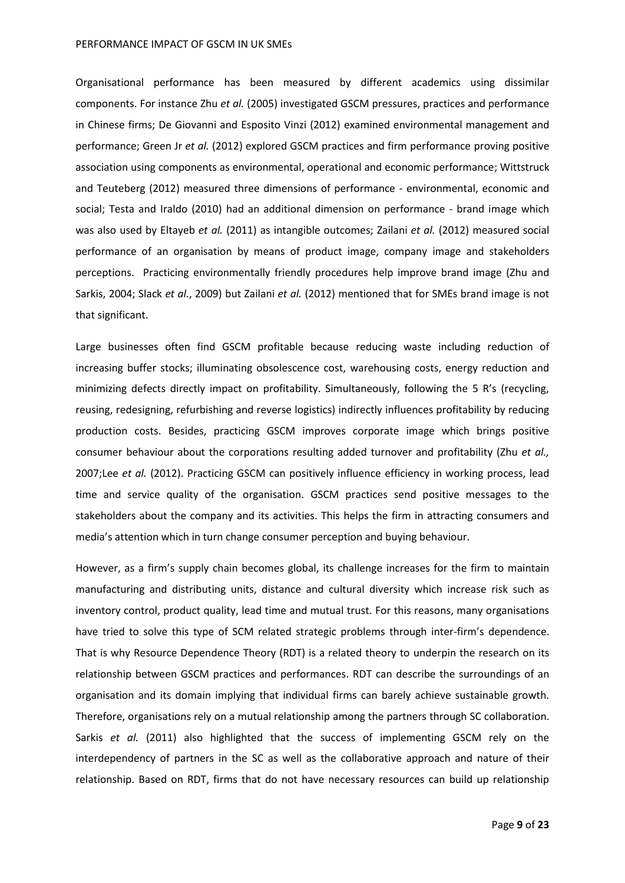Organisational performance has been measured by different academics using dissimilar components. For instance Zhu *et al.* (2005) investigated GSCM pressures, practices and performance in Chinese firms; De Giovanni and Esposito Vinzi (2012) examined environmental management and performance; Green Jr *et al.* (2012) explored GSCM practices and firm performance proving positive association using components as environmental, operational and economic performance; Wittstruck and Teuteberg (2012) measured three dimensions of performance - environmental, economic and social; Testa and Iraldo (2010) had an additional dimension on performance - brand image which was also used by Eltayeb *et al.* (2011) as intangible outcomes; Zailani *et al.* (2012) measured social performance of an organisation by means of product image, company image and stakeholders perceptions. Practicing environmentally friendly procedures help improve brand image (Zhu and Sarkis, 2004; Slack *et al.*, 2009) but Zailani *et al.* (2012) mentioned that for SMEs brand image is not that significant.

Large businesses often find GSCM profitable because reducing waste including reduction of increasing buffer stocks; illuminating obsolescence cost, warehousing costs, energy reduction and minimizing defects directly impact on profitability. Simultaneously, following the 5 R's (recycling, reusing, redesigning, refurbishing and reverse logistics) indirectly influences profitability by reducing production costs. Besides, practicing GSCM improves corporate image which brings positive consumer behaviour about the corporations resulting added turnover and profitability (Zhu *et al.,* 2007;Lee *et al.* (2012). Practicing GSCM can positively influence efficiency in working process, lead time and service quality of the organisation. GSCM practices send positive messages to the stakeholders about the company and its activities. This helps the firm in attracting consumers and media's attention which in turn change consumer perception and buying behaviour.

However, as a firm's supply chain becomes global, its challenge increases for the firm to maintain manufacturing and distributing units, distance and cultural diversity which increase risk such as inventory control, product quality, lead time and mutual trust. For this reasons, many organisations have tried to solve this type of SCM related strategic problems through inter-firm's dependence. That is why Resource Dependence Theory (RDT) is a related theory to underpin the research on its relationship between GSCM practices and performances. RDT can describe the surroundings of an organisation and its domain implying that individual firms can barely achieve sustainable growth. Therefore, organisations rely on a mutual relationship among the partners through SC collaboration. Sarkis *et al.* (2011) also highlighted that the success of implementing GSCM rely on the interdependency of partners in the SC as well as the collaborative approach and nature of their relationship. Based on RDT, firms that do not have necessary resources can build up relationship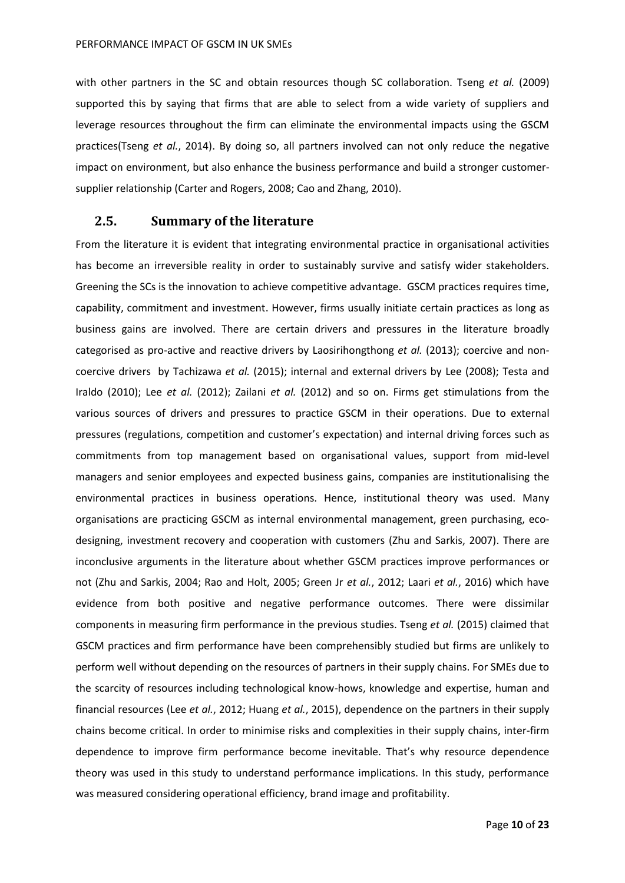with other partners in the SC and obtain resources though SC collaboration. Tseng *et al.* (2009) supported this by saying that firms that are able to select from a wide variety of suppliers and leverage resources throughout the firm can eliminate the environmental impacts using the GSCM practices(Tseng *et al.*, 2014). By doing so, all partners involved can not only reduce the negative impact on environment, but also enhance the business performance and build a stronger customersupplier relationship (Carter and Rogers, 2008; Cao and Zhang, 2010).

## **2.5. Summary of the literature**

From the literature it is evident that integrating environmental practice in organisational activities has become an irreversible reality in order to sustainably survive and satisfy wider stakeholders. Greening the SCs is the innovation to achieve competitive advantage. GSCM practices requires time, capability, commitment and investment. However, firms usually initiate certain practices as long as business gains are involved. There are certain drivers and pressures in the literature broadly categorised as pro-active and reactive drivers by Laosirihongthong *et al.* (2013); coercive and noncoercive drivers by Tachizawa *et al.* (2015); internal and external drivers by Lee (2008); Testa and Iraldo (2010); Lee *et al.* (2012); Zailani *et al.* (2012) and so on. Firms get stimulations from the various sources of drivers and pressures to practice GSCM in their operations. Due to external pressures (regulations, competition and customer's expectation) and internal driving forces such as commitments from top management based on organisational values, support from mid-level managers and senior employees and expected business gains, companies are institutionalising the environmental practices in business operations. Hence, institutional theory was used. Many organisations are practicing GSCM as internal environmental management, green purchasing, ecodesigning, investment recovery and cooperation with customers (Zhu and Sarkis, 2007). There are inconclusive arguments in the literature about whether GSCM practices improve performances or not (Zhu and Sarkis, 2004; Rao and Holt, 2005; Green Jr *et al.*, 2012; Laari *et al.*, 2016) which have evidence from both positive and negative performance outcomes. There were dissimilar components in measuring firm performance in the previous studies. Tseng *et al.* (2015) claimed that GSCM practices and firm performance have been comprehensibly studied but firms are unlikely to perform well without depending on the resources of partners in their supply chains. For SMEs due to the scarcity of resources including technological know-hows, knowledge and expertise, human and financial resources (Lee *et al.*, 2012; Huang *et al.*, 2015), dependence on the partners in their supply chains become critical. In order to minimise risks and complexities in their supply chains, inter-firm dependence to improve firm performance become inevitable. That's why resource dependence theory was used in this study to understand performance implications. In this study, performance was measured considering operational efficiency, brand image and profitability.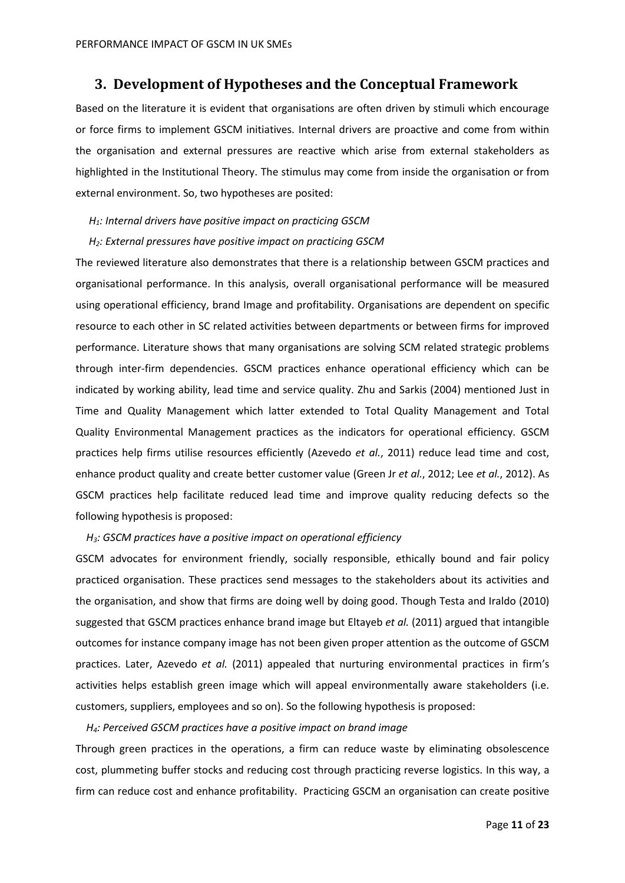# **3. Development of Hypotheses and the Conceptual Framework**

Based on the literature it is evident that organisations are often driven by stimuli which encourage or force firms to implement GSCM initiatives. Internal drivers are proactive and come from within the organisation and external pressures are reactive which arise from external stakeholders as highlighted in the Institutional Theory. The stimulus may come from inside the organisation or from external environment. So, two hypotheses are posited:

 *H1: Internal drivers have positive impact on practicing GSCM* 

#### *H2: External pressures have positive impact on practicing GSCM*

The reviewed literature also demonstrates that there is a relationship between GSCM practices and organisational performance. In this analysis, overall organisational performance will be measured using operational efficiency, brand Image and profitability. Organisations are dependent on specific resource to each other in SC related activities between departments or between firms for improved performance. Literature shows that many organisations are solving SCM related strategic problems through inter-firm dependencies. GSCM practices enhance operational efficiency which can be indicated by working ability, lead time and service quality. Zhu and Sarkis (2004) mentioned Just in Time and Quality Management which latter extended to Total Quality Management and Total Quality Environmental Management practices as the indicators for operational efficiency. GSCM practices help firms utilise resources efficiently (Azevedo *et al.*, 2011) reduce lead time and cost, enhance product quality and create better customer value (Green Jr *et al.*, 2012; Lee *et al.*, 2012). As GSCM practices help facilitate reduced lead time and improve quality reducing defects so the following hypothesis is proposed:

#### *H3: GSCM practices have a positive impact on operational efficiency*

GSCM advocates for environment friendly, socially responsible, ethically bound and fair policy practiced organisation. These practices send messages to the stakeholders about its activities and the organisation, and show that firms are doing well by doing good. Though Testa and Iraldo (2010) suggested that GSCM practices enhance brand image but Eltayeb *et al.* (2011) argued that intangible outcomes for instance company image has not been given proper attention as the outcome of GSCM practices. Later, Azevedo *et al.* (2011) appealed that nurturing environmental practices in firm's activities helps establish green image which will appeal environmentally aware stakeholders (i.e. customers, suppliers, employees and so on). So the following hypothesis is proposed:

## *H4: Perceived GSCM practices have a positive impact on brand image*

Through green practices in the operations, a firm can reduce waste by eliminating obsolescence cost, plummeting buffer stocks and reducing cost through practicing reverse logistics. In this way, a firm can reduce cost and enhance profitability. Practicing GSCM an organisation can create positive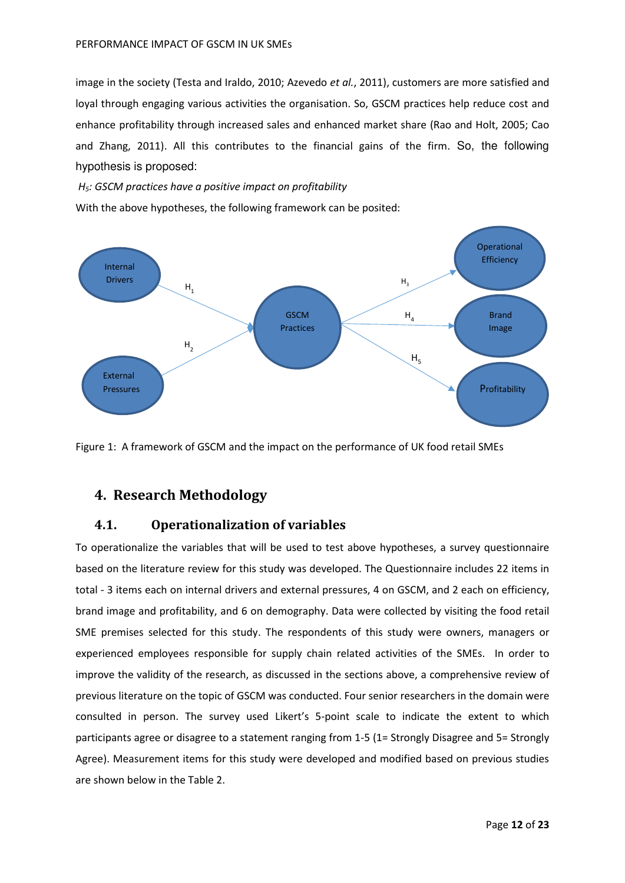image in the society (Testa and Iraldo, 2010; Azevedo *et al.*, 2011), customers are more satisfied and loyal through engaging various activities the organisation. So, GSCM practices help reduce cost and enhance profitability through increased sales and enhanced market share (Rao and Holt, 2005; Cao and Zhang, 2011). All this contributes to the financial gains of the firm. So, the following hypothesis is proposed:

*H5: GSCM practices have a positive impact on profitability*  With the above hypotheses, the following framework can be posited:



Figure 1: A framework of GSCM and the impact on the performance of UK food retail SMEs

# **4. Research Methodology**

# **4.1. Operationalization of variables**

To operationalize the variables that will be used to test above hypotheses, a survey questionnaire based on the literature review for this study was developed. The Questionnaire includes 22 items in total - 3 items each on internal drivers and external pressures, 4 on GSCM, and 2 each on efficiency, brand image and profitability, and 6 on demography. Data were collected by visiting the food retail SME premises selected for this study. The respondents of this study were owners, managers or experienced employees responsible for supply chain related activities of the SMEs. In order to improve the validity of the research, as discussed in the sections above, a comprehensive review of previous literature on the topic of GSCM was conducted. Four senior researchers in the domain were consulted in person. The survey used Likert's 5-point scale to indicate the extent to which participants agree or disagree to a statement ranging from 1-5 (1= Strongly Disagree and 5= Strongly Agree). Measurement items for this study were developed and modified based on previous studies are shown below in the Table 2.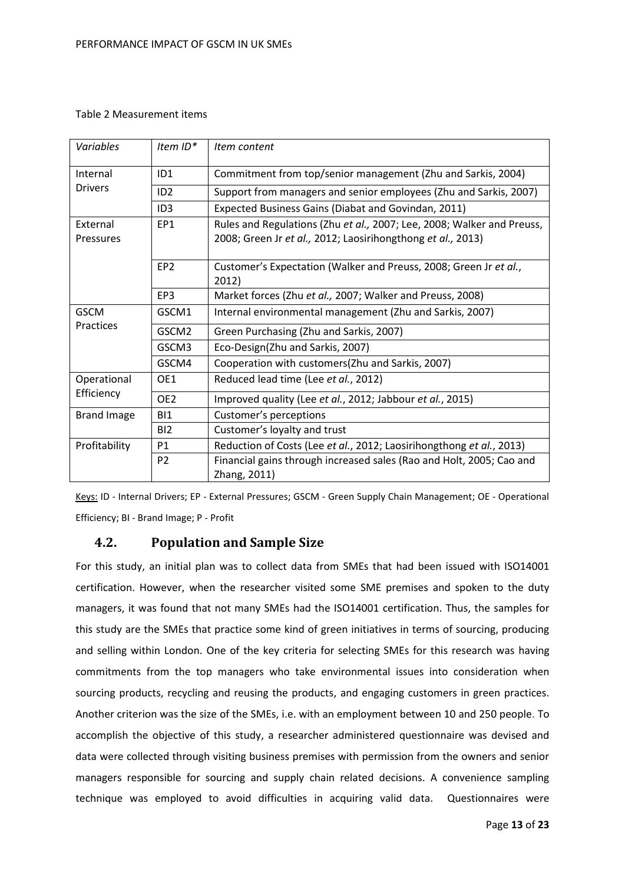## Table 2 Measurement items

| Variables                | Item $ID^*$       | Item content                                                                                                                          |  |  |  |
|--------------------------|-------------------|---------------------------------------------------------------------------------------------------------------------------------------|--|--|--|
| Internal<br>ID1          |                   | Commitment from top/senior management (Zhu and Sarkis, 2004)                                                                          |  |  |  |
| <b>Drivers</b>           | ID <sub>2</sub>   | Support from managers and senior employees (Zhu and Sarkis, 2007)                                                                     |  |  |  |
|                          | ID <sub>3</sub>   | Expected Business Gains (Diabat and Govindan, 2011)                                                                                   |  |  |  |
| External<br>Pressures    | EP1               | Rules and Regulations (Zhu et al., 2007; Lee, 2008; Walker and Preuss,<br>2008; Green Jr et al., 2012; Laosirihongthong et al., 2013) |  |  |  |
|                          | EP <sub>2</sub>   | Customer's Expectation (Walker and Preuss, 2008; Green Jr et al.,<br>2012)                                                            |  |  |  |
|                          | EP <sub>3</sub>   | Market forces (Zhu et al., 2007; Walker and Preuss, 2008)                                                                             |  |  |  |
| <b>GSCM</b><br>Practices | GSCM1             | Internal environmental management (Zhu and Sarkis, 2007)                                                                              |  |  |  |
|                          | GSCM <sub>2</sub> | Green Purchasing (Zhu and Sarkis, 2007)                                                                                               |  |  |  |
|                          | GSCM3             | Eco-Design(Zhu and Sarkis, 2007)                                                                                                      |  |  |  |
|                          | GSCM4             | Cooperation with customers(Zhu and Sarkis, 2007)                                                                                      |  |  |  |
| Operational<br>OE1       |                   | Reduced lead time (Lee et al., 2012)                                                                                                  |  |  |  |
| Efficiency               | OE <sub>2</sub>   | Improved quality (Lee et al., 2012; Jabbour et al., 2015)                                                                             |  |  |  |
| <b>Brand Image</b>       | <b>BI1</b>        | Customer's perceptions                                                                                                                |  |  |  |
|                          | B <sub>12</sub>   | Customer's loyalty and trust                                                                                                          |  |  |  |
| Profitability            | P1                | Reduction of Costs (Lee et al., 2012; Laosirihongthong et al., 2013)                                                                  |  |  |  |
|                          | P <sub>2</sub>    | Financial gains through increased sales (Rao and Holt, 2005; Cao and<br>Zhang, 2011)                                                  |  |  |  |

Keys: ID - Internal Drivers; EP - External Pressures; GSCM - Green Supply Chain Management; OE - Operational Efficiency; BI - Brand Image; P - Profit

# **4.2. Population and Sample Size**

For this study, an initial plan was to collect data from SMEs that had been issued with ISO14001 certification. However, when the researcher visited some SME premises and spoken to the duty managers, it was found that not many SMEs had the ISO14001 certification. Thus, the samples for this study are the SMEs that practice some kind of green initiatives in terms of sourcing, producing and selling within London. One of the key criteria for selecting SMEs for this research was having commitments from the top managers who take environmental issues into consideration when sourcing products, recycling and reusing the products, and engaging customers in green practices. Another criterion was the size of the SMEs, i.e. with an employment between 10 and 250 people. To accomplish the objective of this study, a researcher administered questionnaire was devised and data were collected through visiting business premises with permission from the owners and senior managers responsible for sourcing and supply chain related decisions. A convenience sampling technique was employed to avoid difficulties in acquiring valid data. Questionnaires were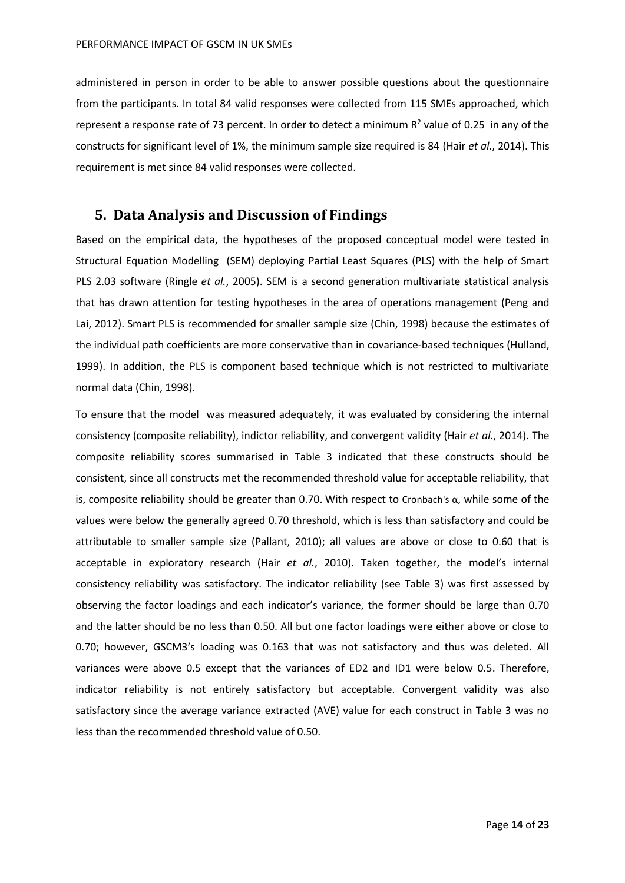administered in person in order to be able to answer possible questions about the questionnaire from the participants. In total 84 valid responses were collected from 115 SMEs approached, which represent a response rate of 73 percent. In order to detect a minimum  $R^2$  value of 0.25 in any of the constructs for significant level of 1%, the minimum sample size required is 84 (Hair *et al.*, 2014). This requirement is met since 84 valid responses were collected.

# **5. Data Analysis and Discussion of Findings**

Based on the empirical data, the hypotheses of the proposed conceptual model were tested in Structural Equation Modelling (SEM) deploying Partial Least Squares (PLS) with the help of Smart PLS 2.03 software (Ringle *et al.*, 2005). SEM is a second generation multivariate statistical analysis that has drawn attention for testing hypotheses in the area of operations management (Peng and Lai, 2012). Smart PLS is recommended for smaller sample size (Chin, 1998) because the estimates of the individual path coefficients are more conservative than in covariance-based techniques (Hulland, 1999). In addition, the PLS is component based technique which is not restricted to multivariate normal data (Chin, 1998).

To ensure that the model was measured adequately, it was evaluated by considering the internal consistency (composite reliability), indictor reliability, and convergent validity (Hair *et al.*, 2014). The composite reliability scores summarised in Table 3 indicated that these constructs should be consistent, since all constructs met the recommended threshold value for acceptable reliability, that is, composite reliability should be greater than 0.70. With respect to Cronbach's α, while some of the values were below the generally agreed 0.70 threshold, which is less than satisfactory and could be attributable to smaller sample size (Pallant, 2010); all values are above or close to 0.60 that is acceptable in exploratory research (Hair *et al.*, 2010). Taken together, the model's internal consistency reliability was satisfactory. The indicator reliability (see Table 3) was first assessed by observing the factor loadings and each indicator's variance, the former should be large than 0.70 and the latter should be no less than 0.50. All but one factor loadings were either above or close to 0.70; however, GSCM3's loading was 0.163 that was not satisfactory and thus was deleted. All variances were above 0.5 except that the variances of ED2 and ID1 were below 0.5. Therefore, indicator reliability is not entirely satisfactory but acceptable. Convergent validity was also satisfactory since the average variance extracted (AVE) value for each construct in Table 3 was no less than the recommended threshold value of 0.50.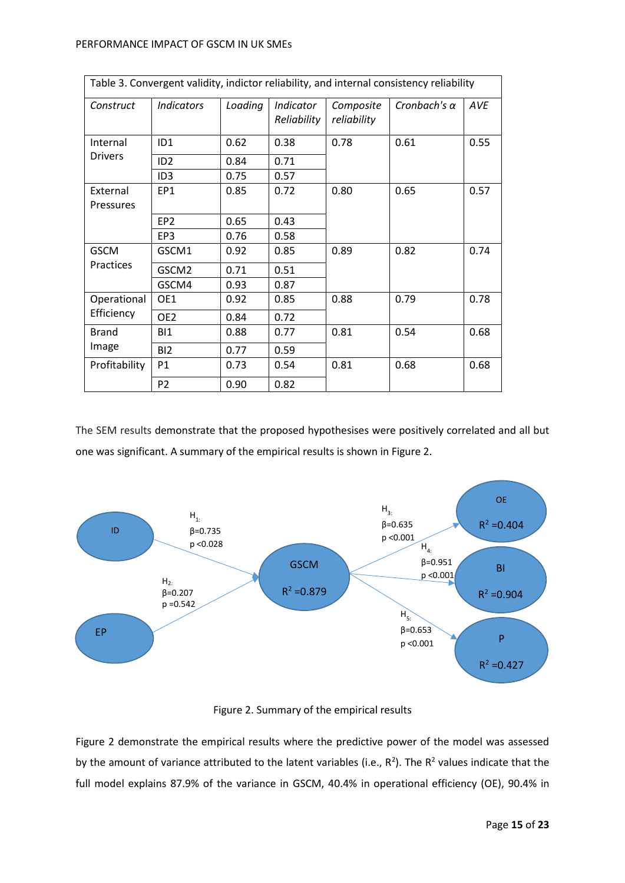| Table 3. Convergent validity, indictor reliability, and internal consistency reliability |                                 |         |                          |                          |                     |            |  |
|------------------------------------------------------------------------------------------|---------------------------------|---------|--------------------------|--------------------------|---------------------|------------|--|
| Construct                                                                                | <i><u><b>Indicators</b></u></i> | Loading | Indicator<br>Reliability | Composite<br>reliability | Cronbach's $\alpha$ | <b>AVE</b> |  |
| Internal<br><b>Drivers</b>                                                               | ID <sub>1</sub>                 | 0.62    | 0.38                     | 0.78                     | 0.61                | 0.55       |  |
|                                                                                          | ID <sub>2</sub>                 | 0.84    | 0.71                     |                          |                     |            |  |
|                                                                                          | ID <sub>3</sub>                 | 0.75    | 0.57                     |                          |                     |            |  |
| External                                                                                 | EP1                             | 0.85    | 0.72                     | 0.80                     | 0.65                | 0.57       |  |
| Pressures                                                                                |                                 |         |                          |                          |                     |            |  |
|                                                                                          | EP <sub>2</sub>                 | 0.65    | 0.43                     |                          |                     |            |  |
|                                                                                          | EP3                             | 0.76    | 0.58                     |                          |                     |            |  |
| <b>GSCM</b><br>Practices                                                                 | GSCM1                           | 0.92    | 0.85                     | 0.89                     | 0.82                | 0.74       |  |
|                                                                                          | GSCM <sub>2</sub>               | 0.71    | 0.51                     |                          |                     |            |  |
|                                                                                          | GSCM4                           | 0.93    | 0.87                     |                          |                     |            |  |
| Operational                                                                              | OE1                             | 0.92    | 0.85                     | 0.88                     | 0.79                | 0.78       |  |
| Efficiency                                                                               | OE <sub>2</sub>                 | 0.84    | 0.72                     |                          |                     |            |  |
| <b>Brand</b><br>Image                                                                    | <b>BI1</b>                      | 0.88    | 0.77                     | 0.81                     | 0.54                | 0.68       |  |
|                                                                                          | B <sub>12</sub>                 | 0.77    | 0.59                     |                          |                     |            |  |
| Profitability                                                                            | P1                              | 0.73    | 0.54                     | 0.81                     | 0.68                | 0.68       |  |
|                                                                                          | P <sub>2</sub>                  | 0.90    | 0.82                     |                          |                     |            |  |

The SEM results demonstrate that the proposed hypothesises were positively correlated and all but one was significant. A summary of the empirical results is shown in Figure 2.



Figure 2. Summary of the empirical results

Figure 2 demonstrate the empirical results where the predictive power of the model was assessed by the amount of variance attributed to the latent variables (i.e.,  $R^2$ ). The  $R^2$  values indicate that the full model explains 87.9% of the variance in GSCM, 40.4% in operational efficiency (OE), 90.4% in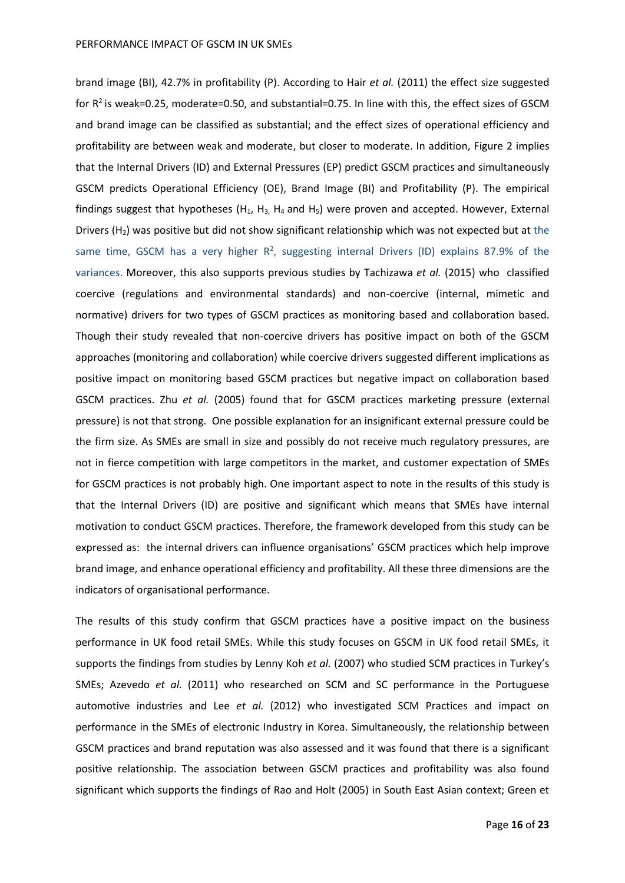brand image (BI), 42.7% in profitability (P). According to Hair *et al.* (2011) the effect size suggested for  $R^2$  is weak=0.25, moderate=0.50, and substantial=0.75. In line with this, the effect sizes of GSCM and brand image can be classified as substantial; and the effect sizes of operational efficiency and profitability are between weak and moderate, but closer to moderate. In addition, Figure 2 implies that the Internal Drivers (ID) and External Pressures (EP) predict GSCM practices and simultaneously GSCM predicts Operational Efficiency (OE), Brand Image (BI) and Profitability (P). The empirical findings suggest that hypotheses (H<sub>1</sub>, H<sub>3</sub>, H<sub>4</sub> and H<sub>5</sub>) were proven and accepted. However, External Drivers  $(H_2)$  was positive but did not show significant relationship which was not expected but at the same time, GSCM has a very higher  $R^2$ , suggesting internal Drivers (ID) explains 87.9% of the variances. Moreover, this also supports previous studies by Tachizawa *et al.* (2015) who classified coercive (regulations and environmental standards) and non-coercive (internal, mimetic and normative) drivers for two types of GSCM practices as monitoring based and collaboration based. Though their study revealed that non-coercive drivers has positive impact on both of the GSCM approaches (monitoring and collaboration) while coercive drivers suggested different implications as positive impact on monitoring based GSCM practices but negative impact on collaboration based GSCM practices. Zhu *et al.* (2005) found that for GSCM practices marketing pressure (external pressure) is not that strong. One possible explanation for an insignificant external pressure could be the firm size. As SMEs are small in size and possibly do not receive much regulatory pressures, are not in fierce competition with large competitors in the market, and customer expectation of SMEs for GSCM practices is not probably high. One important aspect to note in the results of this study is that the Internal Drivers (ID) are positive and significant which means that SMEs have internal motivation to conduct GSCM practices. Therefore, the framework developed from this study can be expressed as: the internal drivers can influence organisations' GSCM practices which help improve brand image, and enhance operational efficiency and profitability. All these three dimensions are the indicators of organisational performance.

The results of this study confirm that GSCM practices have a positive impact on the business performance in UK food retail SMEs. While this study focuses on GSCM in UK food retail SMEs, it supports the findings from studies by Lenny Koh *et al.* (2007) who studied SCM practices in Turkey's SMEs; Azevedo *et al.* (2011) who researched on SCM and SC performance in the Portuguese automotive industries and Lee *et al.* (2012) who investigated SCM Practices and impact on performance in the SMEs of electronic Industry in Korea. Simultaneously, the relationship between GSCM practices and brand reputation was also assessed and it was found that there is a significant positive relationship. The association between GSCM practices and profitability was also found significant which supports the findings of Rao and Holt (2005) in South East Asian context; Green et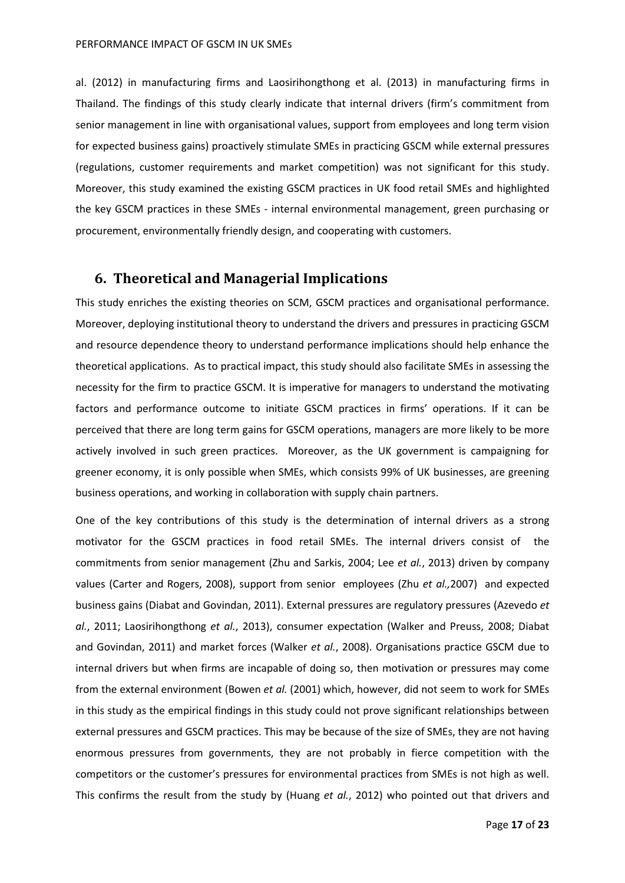al. (2012) in manufacturing firms and Laosirihongthong et al. (2013) in manufacturing firms in Thailand. The findings of this study clearly indicate that internal drivers (firm's commitment from senior management in line with organisational values, support from employees and long term vision for expected business gains) proactively stimulate SMEs in practicing GSCM while external pressures (regulations, customer requirements and market competition) was not significant for this study. Moreover, this study examined the existing GSCM practices in UK food retail SMEs and highlighted the key GSCM practices in these SMEs - internal environmental management, green purchasing or procurement, environmentally friendly design, and cooperating with customers.

## **6. Theoretical and Managerial Implications**

This study enriches the existing theories on SCM, GSCM practices and organisational performance. Moreover, deploying institutional theory to understand the drivers and pressures in practicing GSCM and resource dependence theory to understand performance implications should help enhance the theoretical applications. As to practical impact, this study should also facilitate SMEs in assessing the necessity for the firm to practice GSCM. It is imperative for managers to understand the motivating factors and performance outcome to initiate GSCM practices in firms' operations. If it can be perceived that there are long term gains for GSCM operations, managers are more likely to be more actively involved in such green practices. Moreover, as the UK government is campaigning for greener economy, it is only possible when SMEs, which consists 99% of UK businesses, are greening business operations, and working in collaboration with supply chain partners.

One of the key contributions of this study is the determination of internal drivers as a strong motivator for the GSCM practices in food retail SMEs. The internal drivers consist of the commitments from senior management (Zhu and Sarkis, 2004; Lee *et al.*, 2013) driven by company values (Carter and Rogers, 2008), support from senior employees (Zhu *et al.,*2007) and expected business gains (Diabat and Govindan, 2011). External pressures are regulatory pressures (Azevedo *et al.*, 2011; Laosirihongthong *et al.*, 2013), consumer expectation (Walker and Preuss, 2008; Diabat and Govindan, 2011) and market forces (Walker *et al.*, 2008). Organisations practice GSCM due to internal drivers but when firms are incapable of doing so, then motivation or pressures may come from the external environment (Bowen *et al.* (2001) which, however, did not seem to work for SMEs in this study as the empirical findings in this study could not prove significant relationships between external pressures and GSCM practices. This may be because of the size of SMEs, they are not having enormous pressures from governments, they are not probably in fierce competition with the competitors or the customer's pressures for environmental practices from SMEs is not high as well. This confirms the result from the study by (Huang *et al.*, 2012) who pointed out that drivers and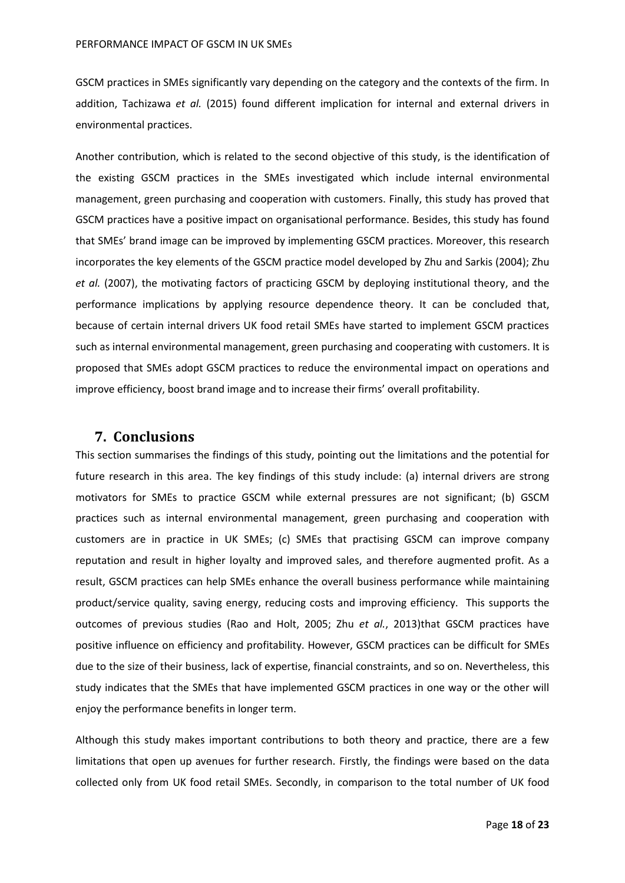GSCM practices in SMEs significantly vary depending on the category and the contexts of the firm. In addition, Tachizawa *et al.* (2015) found different implication for internal and external drivers in environmental practices.

Another contribution, which is related to the second objective of this study, is the identification of the existing GSCM practices in the SMEs investigated which include internal environmental management, green purchasing and cooperation with customers. Finally, this study has proved that GSCM practices have a positive impact on organisational performance. Besides, this study has found that SMEs' brand image can be improved by implementing GSCM practices. Moreover, this research incorporates the key elements of the GSCM practice model developed by Zhu and Sarkis (2004); Zhu *et al.* (2007), the motivating factors of practicing GSCM by deploying institutional theory, and the performance implications by applying resource dependence theory. It can be concluded that, because of certain internal drivers UK food retail SMEs have started to implement GSCM practices such as internal environmental management, green purchasing and cooperating with customers. It is proposed that SMEs adopt GSCM practices to reduce the environmental impact on operations and improve efficiency, boost brand image and to increase their firms' overall profitability.

## **7. Conclusions**

This section summarises the findings of this study, pointing out the limitations and the potential for future research in this area. The key findings of this study include: (a) internal drivers are strong motivators for SMEs to practice GSCM while external pressures are not significant; (b) GSCM practices such as internal environmental management, green purchasing and cooperation with customers are in practice in UK SMEs; (c) SMEs that practising GSCM can improve company reputation and result in higher loyalty and improved sales, and therefore augmented profit. As a result, GSCM practices can help SMEs enhance the overall business performance while maintaining product/service quality, saving energy, reducing costs and improving efficiency. This supports the outcomes of previous studies (Rao and Holt, 2005; Zhu *et al.*, 2013)that GSCM practices have positive influence on efficiency and profitability. However, GSCM practices can be difficult for SMEs due to the size of their business, lack of expertise, financial constraints, and so on. Nevertheless, this study indicates that the SMEs that have implemented GSCM practices in one way or the other will enjoy the performance benefits in longer term.

Although this study makes important contributions to both theory and practice, there are a few limitations that open up avenues for further research. Firstly, the findings were based on the data collected only from UK food retail SMEs. Secondly, in comparison to the total number of UK food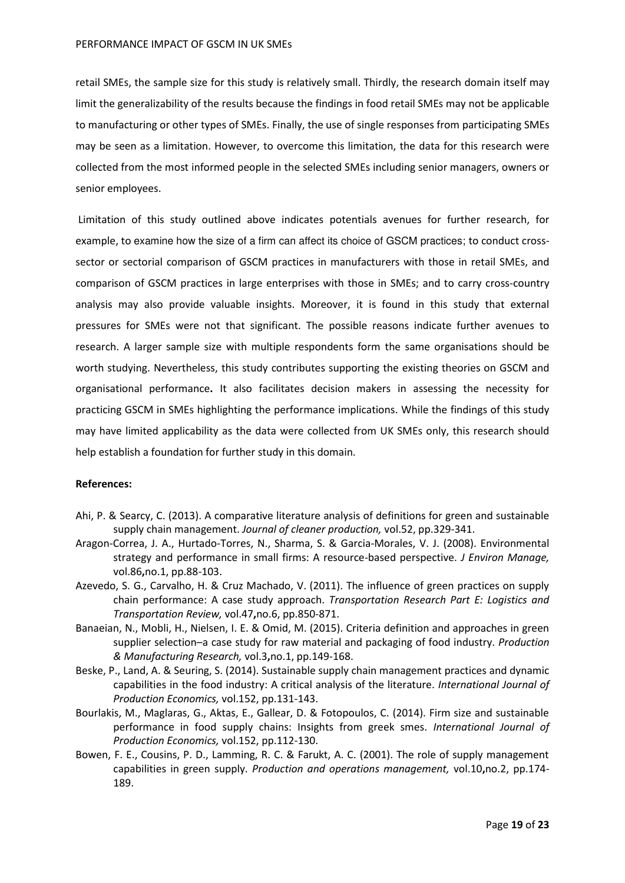retail SMEs, the sample size for this study is relatively small. Thirdly, the research domain itself may limit the generalizability of the results because the findings in food retail SMEs may not be applicable to manufacturing or other types of SMEs. Finally, the use of single responses from participating SMEs may be seen as a limitation. However, to overcome this limitation, the data for this research were collected from the most informed people in the selected SMEs including senior managers, owners or senior employees.

 Limitation of this study outlined above indicates potentials avenues for further research, for example, to examine how the size of a firm can affect its choice of GSCM practices; to conduct crosssector or sectorial comparison of GSCM practices in manufacturers with those in retail SMEs, and comparison of GSCM practices in large enterprises with those in SMEs; and to carry cross-country analysis may also provide valuable insights. Moreover, it is found in this study that external pressures for SMEs were not that significant. The possible reasons indicate further avenues to research. A larger sample size with multiple respondents form the same organisations should be worth studying. Nevertheless, this study contributes supporting the existing theories on GSCM and organisational performance**.** It also facilitates decision makers in assessing the necessity for practicing GSCM in SMEs highlighting the performance implications. While the findings of this study may have limited applicability as the data were collected from UK SMEs only, this research should help establish a foundation for further study in this domain.

#### **References:**

- Ahi, P. & Searcy, C. (2013). A comparative literature analysis of definitions for green and sustainable supply chain management. *Journal of cleaner production,* vol.52, pp.329-341.
- Aragon-Correa, J. A., Hurtado-Torres, N., Sharma, S. & Garcia-Morales, V. J. (2008). Environmental strategy and performance in small firms: A resource-based perspective. *J Environ Manage,* vol.86**,**no.1, pp.88-103.
- Azevedo, S. G., Carvalho, H. & Cruz Machado, V. (2011). The influence of green practices on supply chain performance: A case study approach. *Transportation Research Part E: Logistics and Transportation Review,* vol.47**,**no.6, pp.850-871.
- Banaeian, N., Mobli, H., Nielsen, I. E. & Omid, M. (2015). Criteria definition and approaches in green supplier selection–a case study for raw material and packaging of food industry. *Production & Manufacturing Research,* vol.3**,**no.1, pp.149-168.
- Beske, P., Land, A. & Seuring, S. (2014). Sustainable supply chain management practices and dynamic capabilities in the food industry: A critical analysis of the literature. *International Journal of Production Economics,* vol.152, pp.131-143.
- Bourlakis, M., Maglaras, G., Aktas, E., Gallear, D. & Fotopoulos, C. (2014). Firm size and sustainable performance in food supply chains: Insights from greek smes. *International Journal of Production Economics,* vol.152, pp.112-130.
- Bowen, F. E., Cousins, P. D., Lamming, R. C. & Farukt, A. C. (2001). The role of supply management capabilities in green supply. *Production and operations management,* vol.10**,**no.2, pp.174- 189.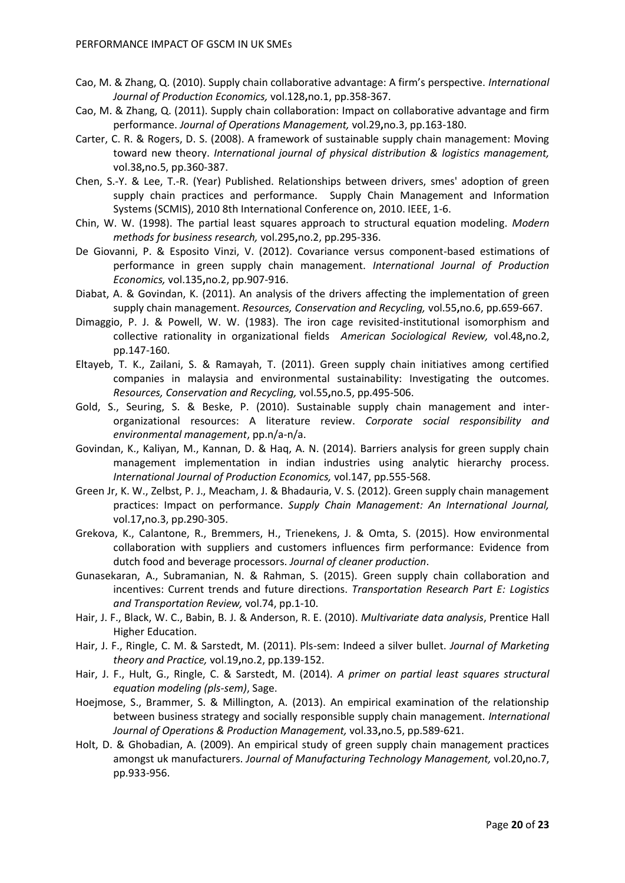- Cao, M. & Zhang, Q. (2010). Supply chain collaborative advantage: A firm's perspective. *International Journal of Production Economics,* vol.128**,**no.1, pp.358-367.
- Cao, M. & Zhang, Q. (2011). Supply chain collaboration: Impact on collaborative advantage and firm performance. *Journal of Operations Management,* vol.29**,**no.3, pp.163-180.
- Carter, C. R. & Rogers, D. S. (2008). A framework of sustainable supply chain management: Moving toward new theory. *International journal of physical distribution & logistics management,* vol.38**,**no.5, pp.360-387.
- Chen, S.-Y. & Lee, T.-R. (Year) Published. Relationships between drivers, smes' adoption of green supply chain practices and performance. Supply Chain Management and Information Systems (SCMIS), 2010 8th International Conference on, 2010. IEEE, 1-6.
- Chin, W. W. (1998). The partial least squares approach to structural equation modeling. *Modern methods for business research,* vol.295**,**no.2, pp.295-336.
- De Giovanni, P. & Esposito Vinzi, V. (2012). Covariance versus component-based estimations of performance in green supply chain management. *International Journal of Production Economics,* vol.135**,**no.2, pp.907-916.
- Diabat, A. & Govindan, K. (2011). An analysis of the drivers affecting the implementation of green supply chain management. *Resources, Conservation and Recycling,* vol.55**,**no.6, pp.659-667.
- Dimaggio, P. J. & Powell, W. W. (1983). The iron cage revisited-institutional isomorphism and collective rationality in organizational fields *American Sociological Review,* vol.48**,**no.2, pp.147-160.
- Eltayeb, T. K., Zailani, S. & Ramayah, T. (2011). Green supply chain initiatives among certified companies in malaysia and environmental sustainability: Investigating the outcomes. *Resources, Conservation and Recycling,* vol.55**,**no.5, pp.495-506.
- Gold, S., Seuring, S. & Beske, P. (2010). Sustainable supply chain management and interorganizational resources: A literature review. *Corporate social responsibility and environmental management*, pp.n/a-n/a.
- Govindan, K., Kaliyan, M., Kannan, D. & Haq, A. N. (2014). Barriers analysis for green supply chain management implementation in indian industries using analytic hierarchy process. *International Journal of Production Economics,* vol.147, pp.555-568.
- Green Jr, K. W., Zelbst, P. J., Meacham, J. & Bhadauria, V. S. (2012). Green supply chain management practices: Impact on performance. *Supply Chain Management: An International Journal,* vol.17**,**no.3, pp.290-305.
- Grekova, K., Calantone, R., Bremmers, H., Trienekens, J. & Omta, S. (2015). How environmental collaboration with suppliers and customers influences firm performance: Evidence from dutch food and beverage processors. *Journal of cleaner production*.
- Gunasekaran, A., Subramanian, N. & Rahman, S. (2015). Green supply chain collaboration and incentives: Current trends and future directions. *Transportation Research Part E: Logistics and Transportation Review,* vol.74, pp.1-10.
- Hair, J. F., Black, W. C., Babin, B. J. & Anderson, R. E. (2010). *Multivariate data analysis*, Prentice Hall Higher Education.
- Hair, J. F., Ringle, C. M. & Sarstedt, M. (2011). Pls-sem: Indeed a silver bullet. *Journal of Marketing theory and Practice,* vol.19**,**no.2, pp.139-152.
- Hair, J. F., Hult, G., Ringle, C. & Sarstedt, M. (2014). *A primer on partial least squares structural equation modeling (pls-sem)*, Sage.
- Hoejmose, S., Brammer, S. & Millington, A. (2013). An empirical examination of the relationship between business strategy and socially responsible supply chain management. *International Journal of Operations & Production Management,* vol.33**,**no.5, pp.589-621.
- Holt, D. & Ghobadian, A. (2009). An empirical study of green supply chain management practices amongst uk manufacturers. *Journal of Manufacturing Technology Management,* vol.20**,**no.7, pp.933-956.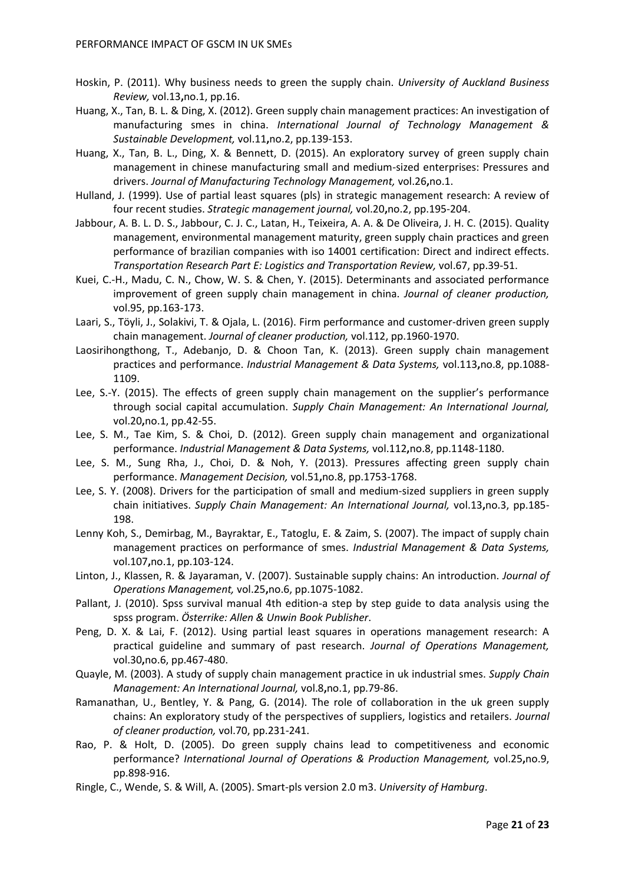- Hoskin, P. (2011). Why business needs to green the supply chain. *University of Auckland Business Review,* vol.13**,**no.1, pp.16.
- Huang, X., Tan, B. L. & Ding, X. (2012). Green supply chain management practices: An investigation of manufacturing smes in china. *International Journal of Technology Management & Sustainable Development,* vol.11**,**no.2, pp.139-153.
- Huang, X., Tan, B. L., Ding, X. & Bennett, D. (2015). An exploratory survey of green supply chain management in chinese manufacturing small and medium-sized enterprises: Pressures and drivers. *Journal of Manufacturing Technology Management,* vol.26**,**no.1.
- Hulland, J. (1999). Use of partial least squares (pls) in strategic management research: A review of four recent studies. *Strategic management journal,* vol.20**,**no.2, pp.195-204.
- Jabbour, A. B. L. D. S., Jabbour, C. J. C., Latan, H., Teixeira, A. A. & De Oliveira, J. H. C. (2015). Quality management, environmental management maturity, green supply chain practices and green performance of brazilian companies with iso 14001 certification: Direct and indirect effects. *Transportation Research Part E: Logistics and Transportation Review,* vol.67, pp.39-51.
- Kuei, C.-H., Madu, C. N., Chow, W. S. & Chen, Y. (2015). Determinants and associated performance improvement of green supply chain management in china. *Journal of cleaner production,* vol.95, pp.163-173.
- Laari, S., Töyli, J., Solakivi, T. & Ojala, L. (2016). Firm performance and customer-driven green supply chain management. *Journal of cleaner production,* vol.112, pp.1960-1970.
- Laosirihongthong, T., Adebanjo, D. & Choon Tan, K. (2013). Green supply chain management practices and performance. *Industrial Management & Data Systems,* vol.113**,**no.8, pp.1088- 1109.
- Lee, S.-Y. (2015). The effects of green supply chain management on the supplier's performance through social capital accumulation. *Supply Chain Management: An International Journal,* vol.20**,**no.1, pp.42-55.
- Lee, S. M., Tae Kim, S. & Choi, D. (2012). Green supply chain management and organizational performance. *Industrial Management & Data Systems,* vol.112**,**no.8, pp.1148-1180.
- Lee, S. M., Sung Rha, J., Choi, D. & Noh, Y. (2013). Pressures affecting green supply chain performance. *Management Decision,* vol.51**,**no.8, pp.1753-1768.
- Lee, S. Y. (2008). Drivers for the participation of small and medium‐sized suppliers in green supply chain initiatives. *Supply Chain Management: An International Journal,* vol.13**,**no.3, pp.185- 198.
- Lenny Koh, S., Demirbag, M., Bayraktar, E., Tatoglu, E. & Zaim, S. (2007). The impact of supply chain management practices on performance of smes. *Industrial Management & Data Systems,* vol.107**,**no.1, pp.103-124.
- Linton, J., Klassen, R. & Jayaraman, V. (2007). Sustainable supply chains: An introduction. *Journal of Operations Management,* vol.25**,**no.6, pp.1075-1082.
- Pallant, J. (2010). Spss survival manual 4th edition-a step by step guide to data analysis using the spss program. *Österrike: Allen & Unwin Book Publisher*.
- Peng, D. X. & Lai, F. (2012). Using partial least squares in operations management research: A practical guideline and summary of past research. *Journal of Operations Management,* vol.30**,**no.6, pp.467-480.
- Quayle, M. (2003). A study of supply chain management practice in uk industrial smes. *Supply Chain Management: An International Journal,* vol.8**,**no.1, pp.79-86.
- Ramanathan, U., Bentley, Y. & Pang, G. (2014). The role of collaboration in the uk green supply chains: An exploratory study of the perspectives of suppliers, logistics and retailers. *Journal of cleaner production,* vol.70, pp.231-241.
- Rao, P. & Holt, D. (2005). Do green supply chains lead to competitiveness and economic performance? *International Journal of Operations & Production Management,* vol.25**,**no.9, pp.898-916.
- Ringle, C., Wende, S. & Will, A. (2005). Smart-pls version 2.0 m3. *University of Hamburg*.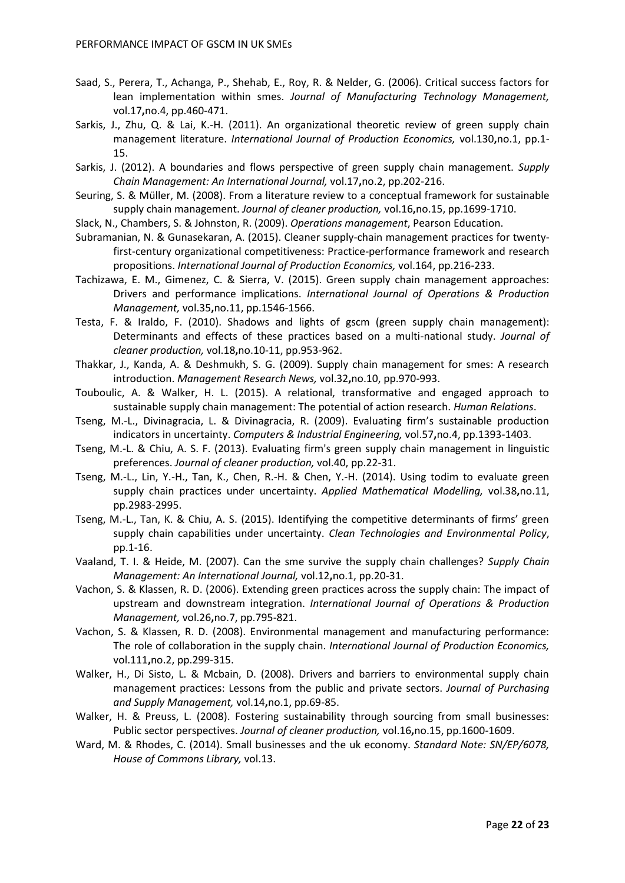- Saad, S., Perera, T., Achanga, P., Shehab, E., Roy, R. & Nelder, G. (2006). Critical success factors for lean implementation within smes. *Journal of Manufacturing Technology Management,* vol.17**,**no.4, pp.460-471.
- Sarkis, J., Zhu, Q. & Lai, K.-H. (2011). An organizational theoretic review of green supply chain management literature. *International Journal of Production Economics,* vol.130**,**no.1, pp.1- 15.
- Sarkis, J. (2012). A boundaries and flows perspective of green supply chain management. *Supply Chain Management: An International Journal,* vol.17**,**no.2, pp.202-216.
- Seuring, S. & Müller, M. (2008). From a literature review to a conceptual framework for sustainable supply chain management. *Journal of cleaner production,* vol.16**,**no.15, pp.1699-1710.
- Slack, N., Chambers, S. & Johnston, R. (2009). *Operations management*, Pearson Education.
- Subramanian, N. & Gunasekaran, A. (2015). Cleaner supply-chain management practices for twentyfirst-century organizational competitiveness: Practice-performance framework and research propositions. *International Journal of Production Economics,* vol.164, pp.216-233.
- Tachizawa, E. M., Gimenez, C. & Sierra, V. (2015). Green supply chain management approaches: Drivers and performance implications. *International Journal of Operations & Production Management,* vol.35**,**no.11, pp.1546-1566.
- Testa, F. & Iraldo, F. (2010). Shadows and lights of gscm (green supply chain management): Determinants and effects of these practices based on a multi-national study. *Journal of cleaner production,* vol.18**,**no.10-11, pp.953-962.
- Thakkar, J., Kanda, A. & Deshmukh, S. G. (2009). Supply chain management for smes: A research introduction. *Management Research News,* vol.32**,**no.10, pp.970-993.
- Touboulic, A. & Walker, H. L. (2015). A relational, transformative and engaged approach to sustainable supply chain management: The potential of action research. *Human Relations*.
- Tseng, M.-L., Divinagracia, L. & Divinagracia, R. (2009). Evaluating firm's sustainable production indicators in uncertainty. *Computers & Industrial Engineering,* vol.57**,**no.4, pp.1393-1403.
- Tseng, M.-L. & Chiu, A. S. F. (2013). Evaluating firm's green supply chain management in linguistic preferences. *Journal of cleaner production,* vol.40, pp.22-31.
- Tseng, M.-L., Lin, Y.-H., Tan, K., Chen, R.-H. & Chen, Y.-H. (2014). Using todim to evaluate green supply chain practices under uncertainty. *Applied Mathematical Modelling,* vol.38**,**no.11, pp.2983-2995.
- Tseng, M.-L., Tan, K. & Chiu, A. S. (2015). Identifying the competitive determinants of firms' green supply chain capabilities under uncertainty. *Clean Technologies and Environmental Policy*, pp.1-16.
- Vaaland, T. I. & Heide, M. (2007). Can the sme survive the supply chain challenges? *Supply Chain Management: An International Journal,* vol.12**,**no.1, pp.20-31.
- Vachon, S. & Klassen, R. D. (2006). Extending green practices across the supply chain: The impact of upstream and downstream integration. *International Journal of Operations & Production Management,* vol.26**,**no.7, pp.795-821.
- Vachon, S. & Klassen, R. D. (2008). Environmental management and manufacturing performance: The role of collaboration in the supply chain. *International Journal of Production Economics,* vol.111**,**no.2, pp.299-315.
- Walker, H., Di Sisto, L. & Mcbain, D. (2008). Drivers and barriers to environmental supply chain management practices: Lessons from the public and private sectors. *Journal of Purchasing and Supply Management,* vol.14**,**no.1, pp.69-85.
- Walker, H. & Preuss, L. (2008). Fostering sustainability through sourcing from small businesses: Public sector perspectives. *Journal of cleaner production,* vol.16**,**no.15, pp.1600-1609.
- Ward, M. & Rhodes, C. (2014). Small businesses and the uk economy. *Standard Note: SN/EP/6078, House of Commons Library,* vol.13.